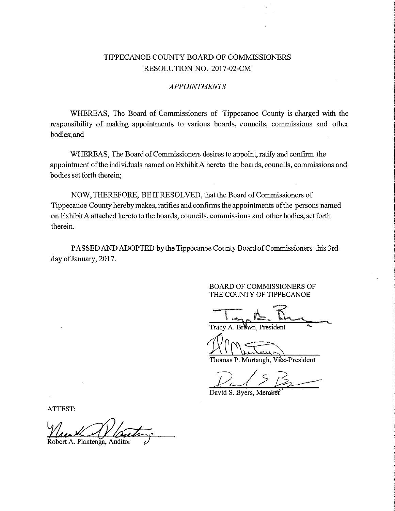## TIPPECANOE COUNTY BOARD OF COMMISSIONERS RESOLUTION NO. 2017-02—CM

## APPOINTMENTS

WHEREAS, The Board of Commissioners of Tippecanoe County is charged with the responsibility of making appointments to various boards, councils, commissions and other bodies; and

WHEREAS, The Board of Commissioners desires to appoint, ratify and confirm the appointment ofthe individuals named on ExhibitA hereto the boards, councils, commissions and bodies set forth therein;

NOW, THEREFORE, BE IT RESOLVED, that the Board of Commissioners of Tippecanoe County hereby makes, ratifies and confirms the appointments ofthe persons named on ExhibitA attached hereto to the boards, councils, commissions and other bodies, set forth therein.

PASSED AND ADOPTED by the Tippecanoe County Board of Commissioners this 3rd day of January, 2017.

> BOARD OF COMMISSIONERS OF THE COUNTY OF TTPPECANOE

Tracy A. Brown, President

 $W/M_{\text{h}}$ 

Thomas P. Murtaugh, Vibe-President

 $P<sup>2</sup>$  $13$ 

David S. Byers, Member

ATTEST:

A. Plantenga, Auditor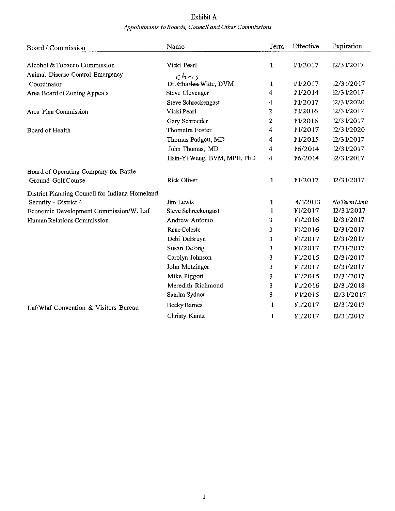## Exhibit A Appointments to Boards, Council and Other Commissions

| Board / Commission                             | Name                            | Term             | Effective       | Expiration  |
|------------------------------------------------|---------------------------------|------------------|-----------------|-------------|
| Alcohol & Tobacco Commission                   | Vicki Pearl                     | 1                | 1/2017          | 12/31/2017  |
| Animal Disease Control Emergency               |                                 |                  |                 |             |
| Coordinator                                    | chris<br>Dr. Charles Witte, DVM | 1                | 1/2017          | 12/31/2017  |
| Area Board of Zoning Appeals                   | <b>Steve Clevenger</b>          | 4                | <i>¥1/2014</i>  | 12/31/2017  |
|                                                | Steve Schreckengast             | 4                | <i>¥1</i> /2017 | 12/31/2020  |
| Area Plan Commission                           | Vicki Pearl                     | 2                | Y1/2016         | 12/31/2017  |
|                                                | Gary Schroeder                  | 2                | 1/2016          | 12/31/2017  |
| Board of Health                                | Thometra Foster                 | 4                | <i>¥1/2017</i>  | 12/31/2020  |
|                                                | Thomas Padgett, MD              | 4                | V1/2015         | 12/31/2017  |
|                                                | John Thomas, MD                 | 4                | 1/6/2014        | 12/31/2017  |
|                                                | Hsin-Yi Weng, BVM, MPH, PhD     | $\boldsymbol{4}$ | 1/6/2014        | 12/31/2017  |
|                                                |                                 |                  |                 |             |
| Board of Operating Company for Battle          |                                 |                  |                 |             |
| Ground Golf Course                             | <b>Rick Oliver</b>              | $1 -$            | 1/2017          | 12/31/2017  |
| District Planning Council for Indiana Homeland |                                 |                  |                 |             |
| Security - District 4                          | Jim Lewis                       | 1                | 4/1/2013        | NoTermLimit |
| Economic Development Commission/W. Laf         | Steve Schreckengast             | 1                | 1/2017          | 12/31/2017  |
| Human Relations Commission                     | Andrew Antonio                  | 3                | <b>¥1/2016</b>  | 12/31/2017  |
|                                                | Rene Celeste                    | 3                | <i>¥1</i> /2016 | 12/31/2017  |
|                                                | Debi DeBruyn                    | 3                | Y1/2017         | 12/31/2017  |
|                                                | <b>Susan Delong</b>             | 3                | Y1/2017         | 12/31/2017  |
|                                                | Carolyn Johnson                 | 3                | <b>Y1/2015</b>  | 12/31/2017  |
|                                                | John Metzinger                  | 3                | 1/2017          | 12/31/2017  |
|                                                | Mike Piggott                    | 3                | V1/2015         | 12/31/2017  |
|                                                | Meredith Richmond               | 3                | 1/2016          | 12/31/2018  |
|                                                | Sandra Sydnor                   | 3                | <i>¥1</i> /2015 | 12/31/2017  |
| Laf/Wlaf Convention & Visitors Bureau          | <b>Becky Barnes</b>             | 1                | Y1/2017         | 12/31/2017  |
|                                                | Christy Kuntz                   | 1                | Y1/2017         | 12/31/2017  |
|                                                |                                 |                  |                 |             |